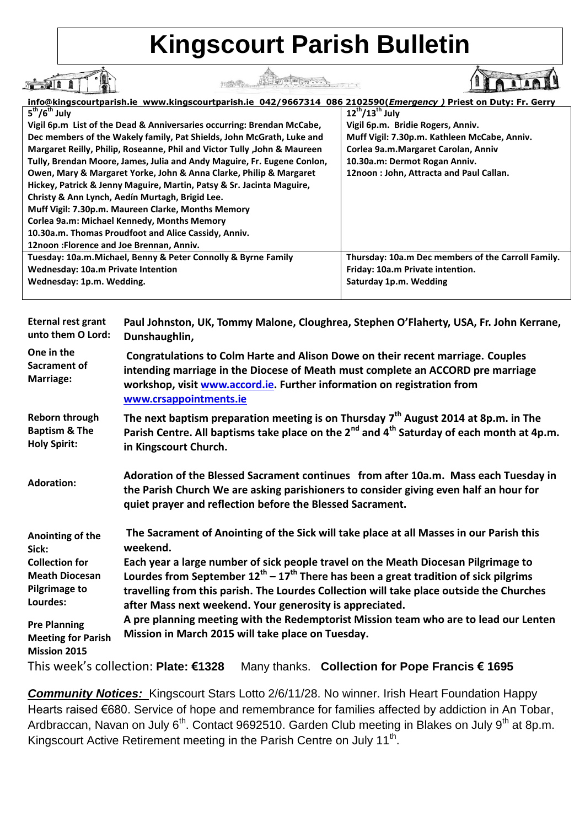## **Kingscourt Parish Bulletin**

THE THE WALL PLAN AND

**info@kingscourtparish.ie www.kingscourtparish.ie 042/9667314 086 2102590(***Emergency )* **Priest on Duty: Fr. Gerry 5 th/6th July 12th/13th July Vigil 6p.m List of the Dead & Anniversaries occurring: Brendan McCabe, Vigil 6p.m. Bridie Rogers, Anniv. Dec members of the Wakely family, Pat Shields, John McGrath, Luke and Muff Vigil: 7.30p.m. Kathleen McCabe, Anniv. Margaret Reilly, Philip, Roseanne, Phil and Victor Tully ,John & Maureen Corlea 9a.m.Margaret Carolan, Anniv Tully, Brendan Moore, James, Julia and Andy Maguire, Fr. Eugene Conlon, 10.30a.m: Dermot Rogan Anniv. Owen, Mary & Margaret Yorke, John & Anna Clarke, Philip & Margaret 12noon : John, Attracta and Paul Callan. Hickey, Patrick & Jenny Maguire, Martin, Patsy & Sr. Jacinta Maguire, Christy & Ann Lynch, Aedín Murtagh, Brigid Lee. Muff Vigil: 7.30p.m. Maureen Clarke, Months Memory Corlea 9a.m: Michael Kennedy, Months Memory 10.30a.m. Thomas Proudfoot and Alice Cassidy, Anniv. 12noon :Florence and Joe Brennan, Anniv. Tuesday: 10a.m.Michael, Benny & Peter Connolly & Byrne Family Thursday: 10a.m Dec members of the Carroll Family. Wednesday: 10a.m Private Intention Friday: 10a.m Private intention. Wednesday: 1p.m. Wedding. Saturday 1p.m. Wedding**

I

| <b>Eternal rest grant</b>                                               | Paul Johnston, UK, Tommy Malone, Cloughrea, Stephen O'Flaherty, USA, Fr. John Kerrane,                                                                                                                                                                                  |
|-------------------------------------------------------------------------|-------------------------------------------------------------------------------------------------------------------------------------------------------------------------------------------------------------------------------------------------------------------------|
| unto them O Lord:                                                       | Dunshaughlin,                                                                                                                                                                                                                                                           |
| One in the<br>Sacrament of<br>Marriage:                                 | Congratulations to Colm Harte and Alison Dowe on their recent marriage. Couples<br>intending marriage in the Diocese of Meath must complete an ACCORD pre marriage<br>workshop, visit www.accord.ie. Further information on registration from<br>www.crsappointments.ie |
| Reborn through                                                          | The next baptism preparation meeting is on Thursday $7th$ August 2014 at 8p.m. in The                                                                                                                                                                                   |
| <b>Baptism &amp; The</b>                                                | Parish Centre. All baptisms take place on the 2 <sup>nd</sup> and 4 <sup>th</sup> Saturday of each month at 4p.m.                                                                                                                                                       |
| <b>Holy Spirit:</b>                                                     | in Kingscourt Church.                                                                                                                                                                                                                                                   |
| <b>Adoration:</b>                                                       | Adoration of the Blessed Sacrament continues from after 10a.m. Mass each Tuesday in<br>the Parish Church We are asking parishioners to consider giving even half an hour for<br>quiet prayer and reflection before the Blessed Sacrament.                               |
| Anointing of the                                                        | The Sacrament of Anointing of the Sick will take place at all Masses in our Parish this                                                                                                                                                                                 |
| Sick:                                                                   | weekend.                                                                                                                                                                                                                                                                |
| <b>Collection for</b>                                                   | Each year a large number of sick people travel on the Meath Diocesan Pilgrimage to                                                                                                                                                                                      |
| <b>Meath Diocesan</b>                                                   | Lourdes from September $12^{th} - 17^{th}$ There has been a great tradition of sick pilgrims                                                                                                                                                                            |
| <b>Pilgrimage to</b>                                                    | travelling from this parish. The Lourdes Collection will take place outside the Churches                                                                                                                                                                                |
| Lourdes:                                                                | after Mass next weekend. Your generosity is appreciated.                                                                                                                                                                                                                |
| <b>Pre Planning</b><br><b>Meeting for Parish</b><br><b>Mission 2015</b> | A pre planning meeting with the Redemptorist Mission team who are to lead our Lenten<br>Mission in March 2015 will take place on Tuesday.                                                                                                                               |
|                                                                         | This week's collection: Plate: €1328<br>Many thanks. Collection for Pope Francis € 1695                                                                                                                                                                                 |

*Community Notices:* Kingscourt Stars Lotto 2/6/11/28. No winner. Irish Heart Foundation Happy Hearts raised €680. Service of hope and remembrance for families affected by addiction in An Tobar, Ardbraccan, Navan on July  $6<sup>th</sup>$ . Contact 9692510. Garden Club meeting in Blakes on July 9<sup>th</sup> at 8p.m. Kingscourt Active Retirement meeting in the Parish Centre on July 11<sup>th</sup>.